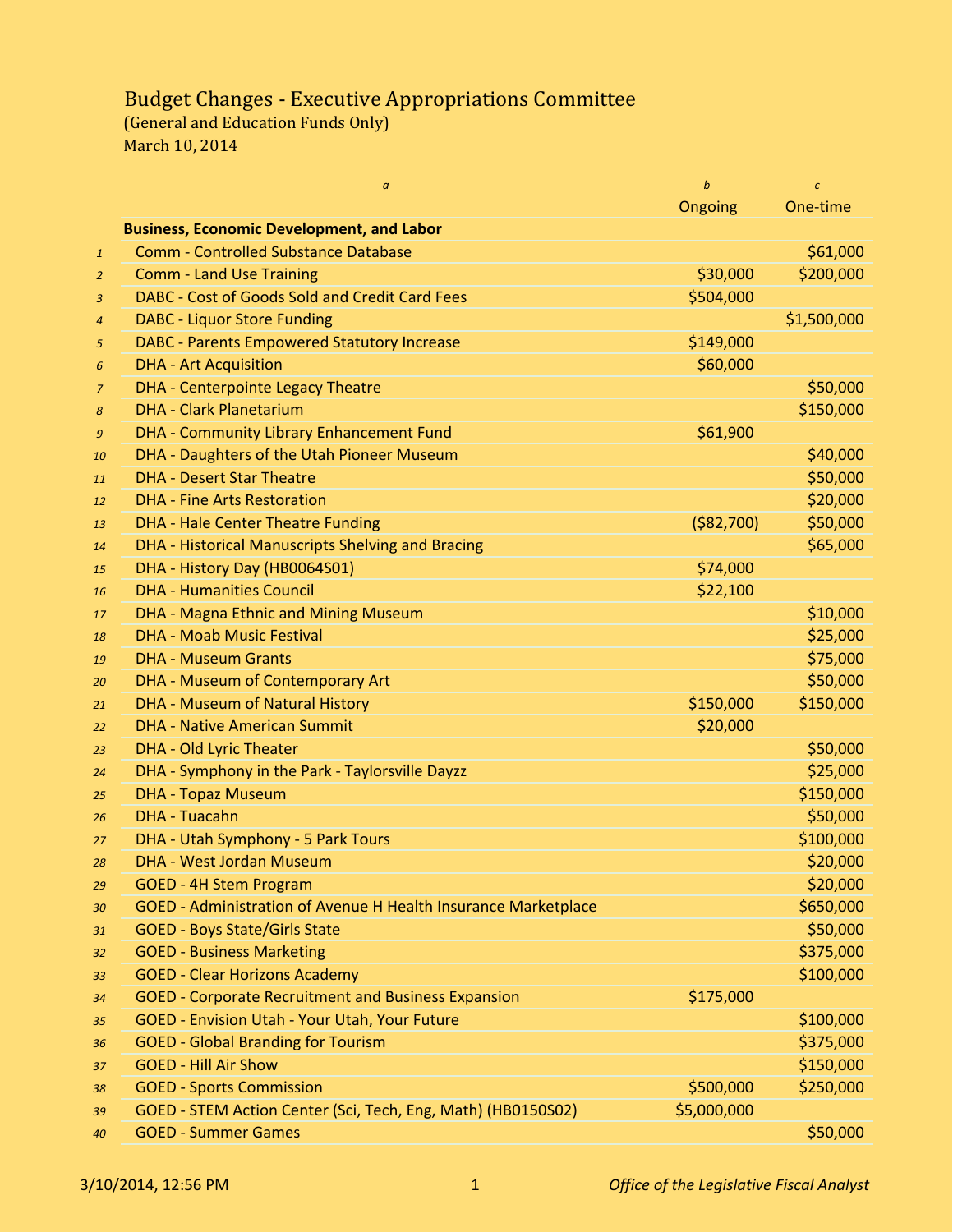## Budget Changes - Executive Appropriations Committee

(General and Education Funds Only) March 10, 2014

|                | $\boldsymbol{a}$                                               | $\mathbf b$ | $\mathcal{C}$ |
|----------------|----------------------------------------------------------------|-------------|---------------|
|                |                                                                | Ongoing     | One-time      |
|                | <b>Business, Economic Development, and Labor</b>               |             |               |
| $\mathbf{1}$   | <b>Comm - Controlled Substance Database</b>                    |             | \$61,000      |
| $\overline{2}$ | <b>Comm - Land Use Training</b>                                | \$30,000    | \$200,000     |
| $\overline{3}$ | DABC - Cost of Goods Sold and Credit Card Fees                 | \$504,000   |               |
| $\overline{4}$ | <b>DABC - Liquor Store Funding</b>                             |             | \$1,500,000   |
| 5              | <b>DABC</b> - Parents Empowered Statutory Increase             | \$149,000   |               |
| 6              | <b>DHA - Art Acquisition</b>                                   | \$60,000    |               |
| $\overline{z}$ | <b>DHA - Centerpointe Legacy Theatre</b>                       |             | \$50,000      |
| 8              | <b>DHA - Clark Planetarium</b>                                 |             | \$150,000     |
| 9              | DHA - Community Library Enhancement Fund                       | \$61,900    |               |
| 10             | DHA - Daughters of the Utah Pioneer Museum                     |             | \$40,000      |
| 11             | <b>DHA - Desert Star Theatre</b>                               |             | \$50,000      |
| 12             | <b>DHA - Fine Arts Restoration</b>                             |             | \$20,000      |
| 13             | <b>DHA - Hale Center Theatre Funding</b>                       | ( \$82,700) | \$50,000      |
| 14             | DHA - Historical Manuscripts Shelving and Bracing              |             | \$65,000      |
| 15             | DHA - History Day (HB0064S01)                                  | \$74,000    |               |
| 16             | <b>DHA - Humanities Council</b>                                | \$22,100    |               |
| 17             | DHA - Magna Ethnic and Mining Museum                           |             | \$10,000      |
| 18             | <b>DHA - Moab Music Festival</b>                               |             | \$25,000      |
| 19             | <b>DHA - Museum Grants</b>                                     |             | \$75,000      |
| 20             | DHA - Museum of Contemporary Art                               |             | \$50,000      |
| 21             | DHA - Museum of Natural History                                | \$150,000   | \$150,000     |
| 22             | <b>DHA - Native American Summit</b>                            | \$20,000    |               |
| 23             | <b>DHA - Old Lyric Theater</b>                                 |             | \$50,000      |
| 24             | DHA - Symphony in the Park - Taylorsville Dayzz                |             | \$25,000      |
| 25             | <b>DHA - Topaz Museum</b>                                      |             | \$150,000     |
| 26             | <b>DHA - Tuacahn</b>                                           |             | \$50,000      |
| 27             | DHA - Utah Symphony - 5 Park Tours                             |             | \$100,000     |
| 28             | <b>DHA - West Jordan Museum</b>                                |             | \$20,000      |
| 29             | <b>GOED - 4H Stem Program</b>                                  |             | \$20,000      |
| 30             | GOED - Administration of Avenue H Health Insurance Marketplace |             | \$650,000     |
| 31             | <b>GOED - Boys State/Girls State</b>                           |             | \$50,000      |
| 32             | <b>GOED - Business Marketing</b>                               |             | \$375,000     |
| 33             | <b>GOED - Clear Horizons Academy</b>                           |             | \$100,000     |
| 34             | <b>GOED - Corporate Recruitment and Business Expansion</b>     | \$175,000   |               |
| 35             | <b>GOED - Envision Utah - Your Utah, Your Future</b>           |             | \$100,000     |
| 36             | <b>GOED - Global Branding for Tourism</b>                      |             | \$375,000     |
| 37             | <b>GOED - Hill Air Show</b>                                    |             | \$150,000     |
| 38             | <b>GOED - Sports Commission</b>                                | \$500,000   | \$250,000     |
| 39             | GOED - STEM Action Center (Sci, Tech, Eng, Math) (HB0150S02)   | \$5,000,000 |               |
| 40             | <b>GOED - Summer Games</b>                                     |             | \$50,000      |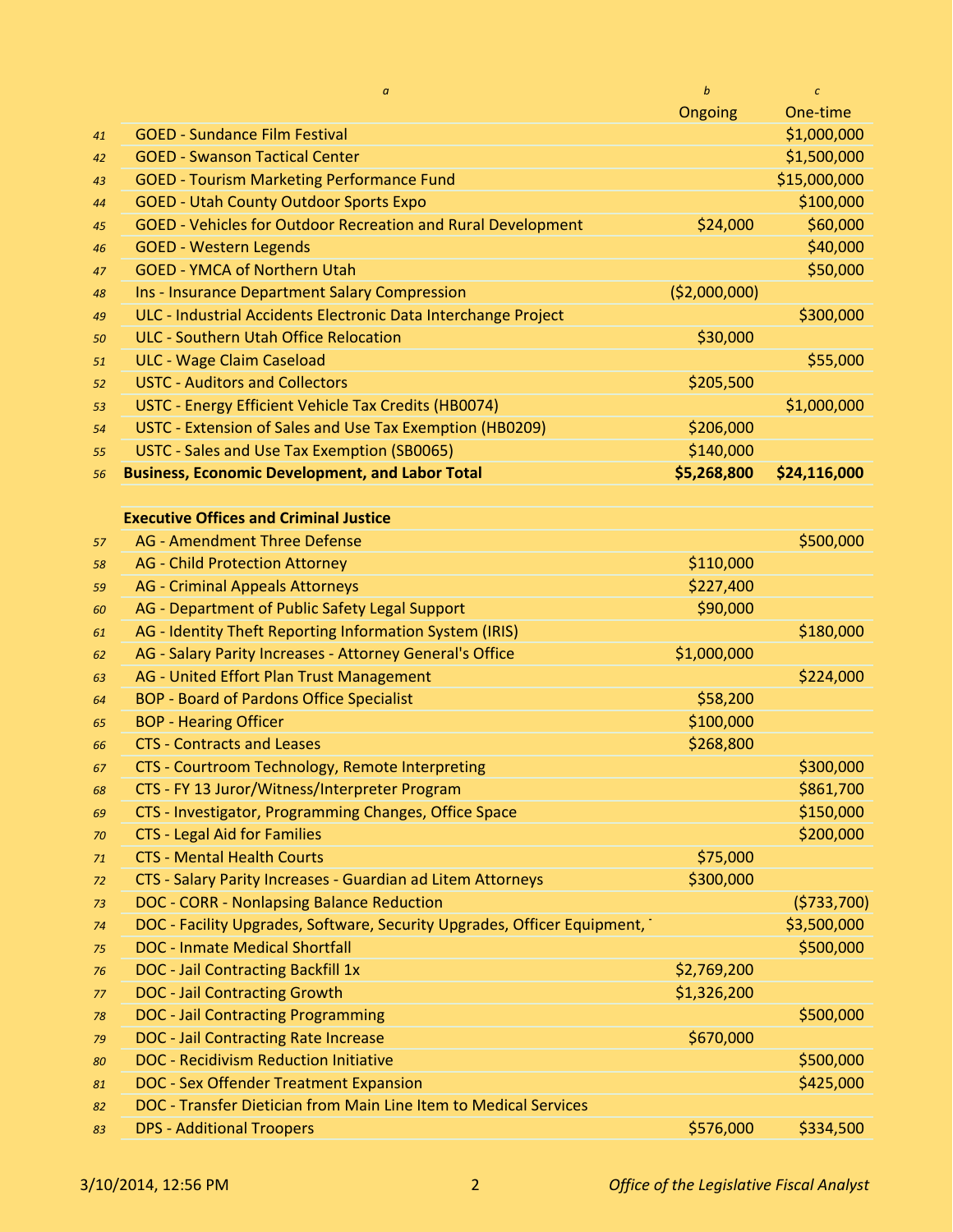|    | $\boldsymbol{a}$                                                         | $\boldsymbol{b}$ | $\mathcal{C}$ |
|----|--------------------------------------------------------------------------|------------------|---------------|
|    |                                                                          | Ongoing          | One-time      |
| 41 | <b>GOED - Sundance Film Festival</b>                                     |                  | \$1,000,000   |
| 42 | <b>GOED - Swanson Tactical Center</b>                                    |                  | \$1,500,000   |
| 43 | <b>GOED - Tourism Marketing Performance Fund</b>                         |                  | \$15,000,000  |
| 44 | <b>GOED - Utah County Outdoor Sports Expo</b>                            |                  | \$100,000     |
| 45 | <b>GOED - Vehicles for Outdoor Recreation and Rural Development</b>      | \$24,000         | \$60,000      |
| 46 | <b>GOED - Western Legends</b>                                            |                  | \$40,000      |
| 47 | <b>GOED - YMCA of Northern Utah</b>                                      |                  | \$50,000      |
| 48 | Ins - Insurance Department Salary Compression                            | ( \$2,000,000)   |               |
| 49 | ULC - Industrial Accidents Electronic Data Interchange Project           |                  | \$300,000     |
| 50 | <b>ULC - Southern Utah Office Relocation</b>                             | \$30,000         |               |
| 51 | <b>ULC - Wage Claim Caseload</b>                                         |                  | \$55,000      |
| 52 | <b>USTC - Auditors and Collectors</b>                                    | \$205,500        |               |
| 53 | USTC - Energy Efficient Vehicle Tax Credits (HB0074)                     |                  | \$1,000,000   |
| 54 | USTC - Extension of Sales and Use Tax Exemption (HB0209)                 | \$206,000        |               |
| 55 | USTC - Sales and Use Tax Exemption (SB0065)                              | \$140,000        |               |
| 56 | <b>Business, Economic Development, and Labor Total</b>                   | \$5,268,800      | \$24,116,000  |
|    |                                                                          |                  |               |
|    | <b>Executive Offices and Criminal Justice</b>                            |                  |               |
| 57 | <b>AG - Amendment Three Defense</b>                                      |                  | \$500,000     |
| 58 | <b>AG</b> - Child Protection Attorney                                    | \$110,000        |               |
| 59 | <b>AG</b> - Criminal Appeals Attorneys                                   | \$227,400        |               |
| 60 | AG - Department of Public Safety Legal Support                           | \$90,000         |               |
| 61 | AG - Identity Theft Reporting Information System (IRIS)                  |                  | \$180,000     |
| 62 | AG - Salary Parity Increases - Attorney General's Office                 | \$1,000,000      |               |
| 63 | AG - United Effort Plan Trust Management                                 |                  | \$224,000     |
| 64 | <b>BOP - Board of Pardons Office Specialist</b>                          | \$58,200         |               |
| 65 | <b>BOP - Hearing Officer</b>                                             | \$100,000        |               |
| 66 | <b>CTS - Contracts and Leases</b>                                        | \$268,800        |               |
| 67 | CTS - Courtroom Technology, Remote Interpreting                          |                  | \$300,000     |
| 68 | CTS - FY 13 Juror/Witness/Interpreter Program                            |                  | \$861,700     |
| 69 | CTS - Investigator, Programming Changes, Office Space                    |                  | \$150,000     |
| 70 | <b>CTS - Legal Aid for Families</b>                                      |                  | \$200,000     |
| 71 | <b>CTS - Mental Health Courts</b>                                        | \$75,000         |               |
| 72 | CTS - Salary Parity Increases - Guardian ad Litem Attorneys              | \$300,000        |               |
| 73 | DOC - CORR - Nonlapsing Balance Reduction                                |                  | (5733,700)    |
| 74 | DOC - Facility Upgrades, Software, Security Upgrades, Officer Equipment, |                  | \$3,500,000   |
| 75 | <b>DOC - Inmate Medical Shortfall</b>                                    |                  | \$500,000     |
| 76 | <b>DOC</b> - Jail Contracting Backfill 1x                                | \$2,769,200      |               |
| 77 | <b>DOC - Jail Contracting Growth</b>                                     | \$1,326,200      |               |
| 78 | <b>DOC - Jail Contracting Programming</b>                                |                  | \$500,000     |
| 79 | <b>DOC</b> - Jail Contracting Rate Increase                              | \$670,000        |               |
| 80 | <b>DOC</b> - Recidivism Reduction Initiative                             |                  | \$500,000     |
| 81 | <b>DOC - Sex Offender Treatment Expansion</b>                            |                  | \$425,000     |
| 82 | DOC - Transfer Dietician from Main Line Item to Medical Services         |                  |               |
| 83 | <b>DPS - Additional Troopers</b>                                         | \$576,000        | \$334,500     |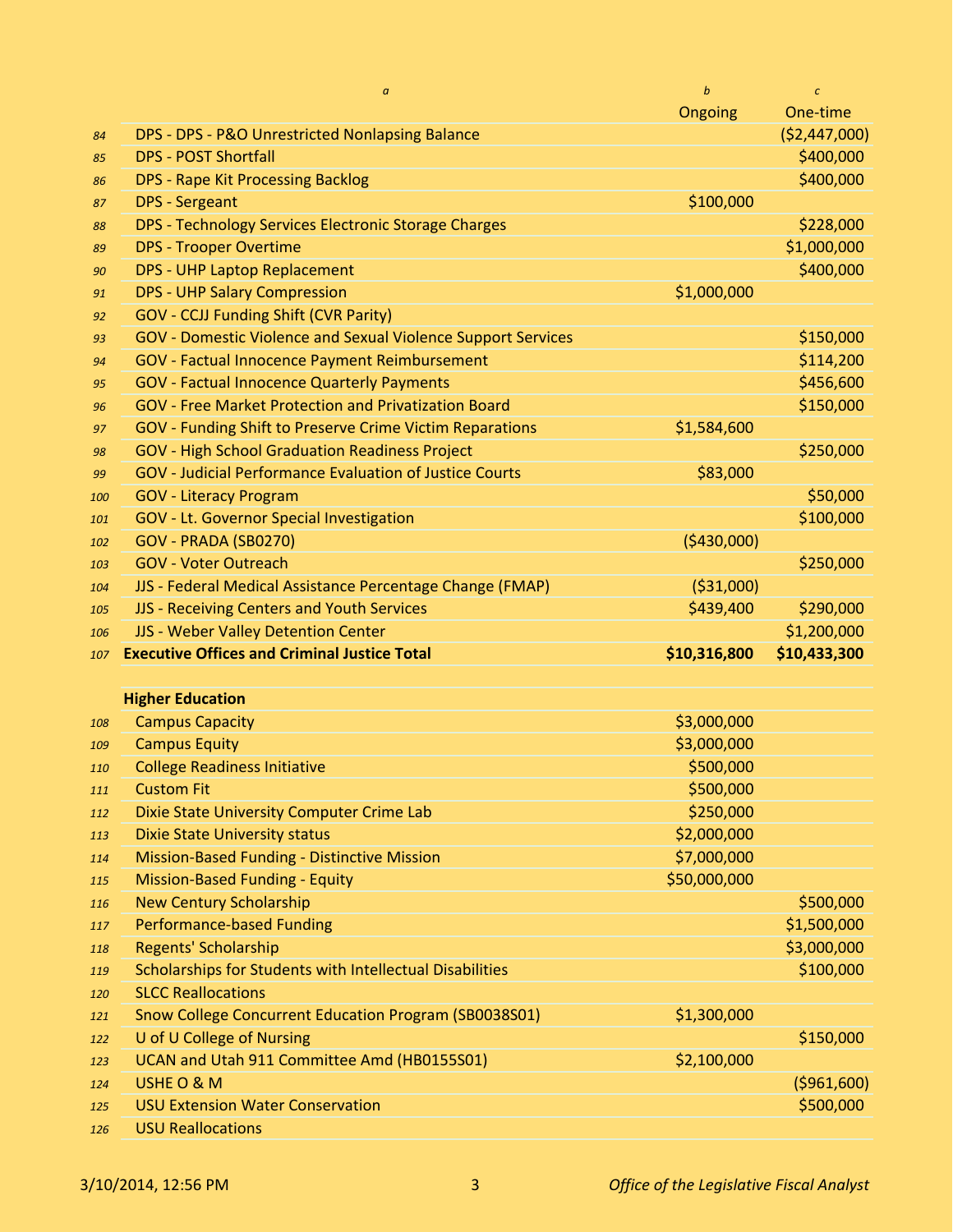|     | $\boldsymbol{a}$                                                    | b            | $\epsilon$    |
|-----|---------------------------------------------------------------------|--------------|---------------|
|     |                                                                     | Ongoing      | One-time      |
| 84  | DPS - DPS - P&O Unrestricted Nonlapsing Balance                     |              | (\$2,447,000) |
| 85  | <b>DPS - POST Shortfall</b>                                         |              | \$400,000     |
| 86  | <b>DPS - Rape Kit Processing Backlog</b>                            |              | \$400,000     |
| 87  | <b>DPS</b> - Sergeant                                               | \$100,000    |               |
| 88  | DPS - Technology Services Electronic Storage Charges                |              | \$228,000     |
| 89  | <b>DPS - Trooper Overtime</b>                                       |              | \$1,000,000   |
| 90  | <b>DPS - UHP Laptop Replacement</b>                                 |              | \$400,000     |
| 91  | <b>DPS - UHP Salary Compression</b>                                 | \$1,000,000  |               |
| 92  | <b>GOV - CCJJ Funding Shift (CVR Parity)</b>                        |              |               |
| 93  | <b>GOV</b> - Domestic Violence and Sexual Violence Support Services |              | \$150,000     |
| 94  | <b>GOV</b> - Factual Innocence Payment Reimbursement                |              | \$114,200     |
| 95  | <b>GOV</b> - Factual Innocence Quarterly Payments                   |              | \$456,600     |
| 96  | <b>GOV - Free Market Protection and Privatization Board</b>         |              | \$150,000     |
| 97  | <b>GOV - Funding Shift to Preserve Crime Victim Reparations</b>     | \$1,584,600  |               |
| 98  | <b>GOV - High School Graduation Readiness Project</b>               |              | \$250,000     |
| 99  | <b>GOV - Judicial Performance Evaluation of Justice Courts</b>      | \$83,000     |               |
| 100 | <b>GOV - Literacy Program</b>                                       |              | \$50,000      |
| 101 | GOV - Lt. Governor Special Investigation                            |              | \$100,000     |
| 102 | GOV - PRADA (SB0270)                                                | (\$430,000)  |               |
| 103 | <b>GOV - Voter Outreach</b>                                         |              | \$250,000     |
| 104 | JJS - Federal Medical Assistance Percentage Change (FMAP)           | ( \$31,000)  |               |
| 105 | JJS - Receiving Centers and Youth Services                          | \$439,400    | \$290,000     |
| 106 | JJS - Weber Valley Detention Center                                 |              | \$1,200,000   |
| 107 | <b>Executive Offices and Criminal Justice Total</b>                 | \$10,316,800 | \$10,433,300  |
|     |                                                                     |              |               |

| <b>Higher Education</b> |  |  |
|-------------------------|--|--|
|                         |  |  |

| 108 | <b>Campus Capacity</b>                                   | \$3,000,000  |              |
|-----|----------------------------------------------------------|--------------|--------------|
| 109 | <b>Campus Equity</b>                                     | \$3,000,000  |              |
| 110 | <b>College Readiness Initiative</b>                      | \$500,000    |              |
| 111 | <b>Custom Fit</b>                                        | \$500,000    |              |
| 112 | Dixie State University Computer Crime Lab                | \$250,000    |              |
| 113 | <b>Dixie State University status</b>                     | \$2,000,000  |              |
| 114 | <b>Mission-Based Funding - Distinctive Mission</b>       | \$7,000,000  |              |
| 115 | <b>Mission-Based Funding - Equity</b>                    | \$50,000,000 |              |
| 116 | <b>New Century Scholarship</b>                           |              | \$500,000    |
| 117 | <b>Performance-based Funding</b>                         |              | \$1,500,000  |
| 118 | Regents' Scholarship                                     |              | \$3,000,000  |
| 119 | Scholarships for Students with Intellectual Disabilities |              | \$100,000    |
| 120 | <b>SLCC Reallocations</b>                                |              |              |
| 121 | Snow College Concurrent Education Program (SB0038S01)    | \$1,300,000  |              |
| 122 | U of U College of Nursing                                |              | \$150,000    |
| 123 | UCAN and Utah 911 Committee Amd (HB0155S01)              | \$2,100,000  |              |
| 124 | USHE O & M                                               |              | ( \$961,600) |
| 125 | <b>USU Extension Water Conservation</b>                  |              | \$500,000    |
| 126 | <b>USU Reallocations</b>                                 |              |              |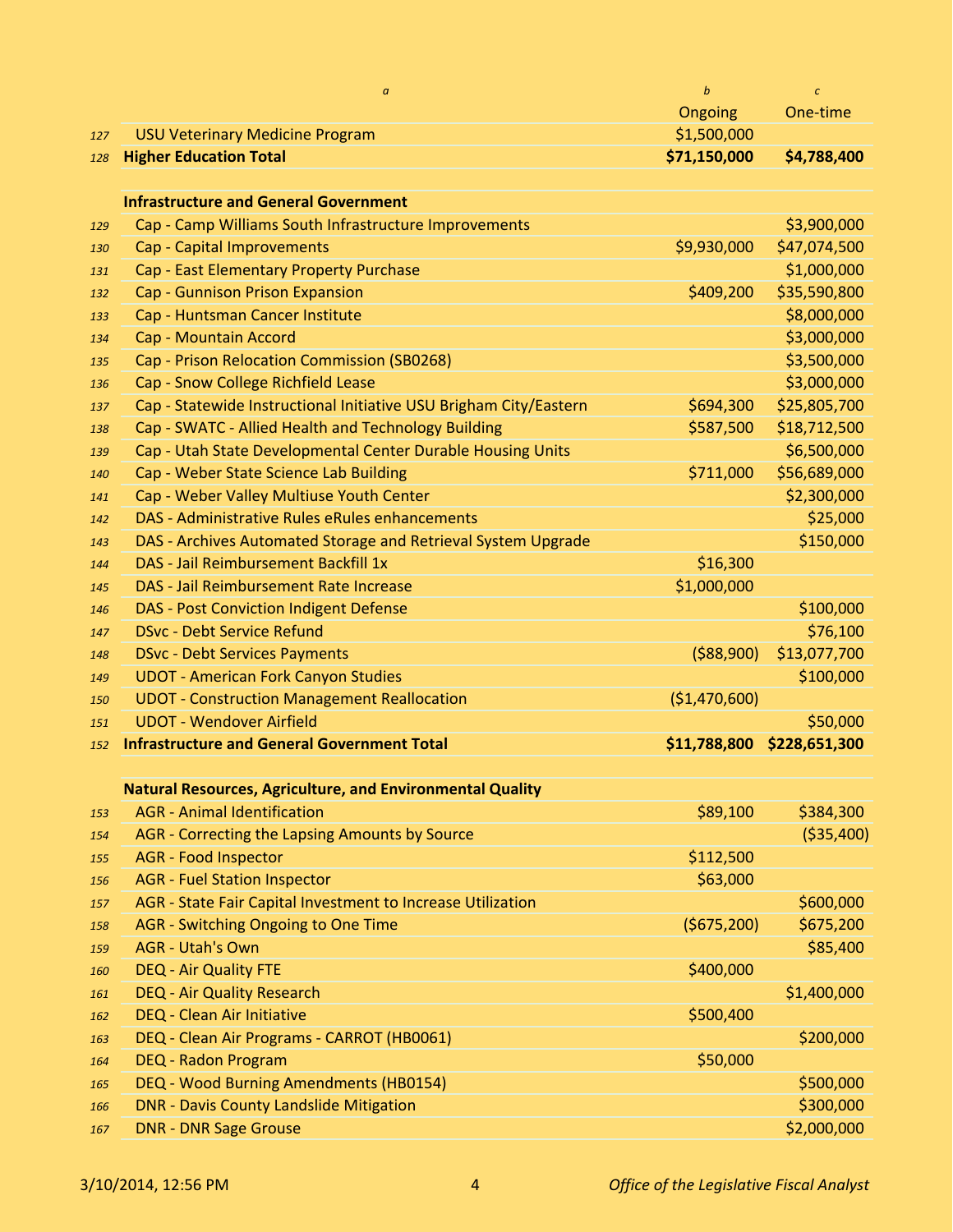|            | $\alpha$                                                                       | $\boldsymbol{b}$        | $\epsilon$            |
|------------|--------------------------------------------------------------------------------|-------------------------|-----------------------|
|            |                                                                                | Ongoing                 | One-time              |
| 127        | <b>USU Veterinary Medicine Program</b>                                         | \$1,500,000             |                       |
| 128        | <b>Higher Education Total</b>                                                  | \$71,150,000            | \$4,788,400           |
|            | <b>Infrastructure and General Government</b>                                   |                         |                       |
| 129        | Cap - Camp Williams South Infrastructure Improvements                          |                         | \$3,900,000           |
| 130        | Cap - Capital Improvements                                                     | \$9,930,000             | \$47,074,500          |
| 131        | Cap - East Elementary Property Purchase                                        |                         | \$1,000,000           |
| 132        | Cap - Gunnison Prison Expansion                                                | \$409,200               | \$35,590,800          |
| 133        | Cap - Huntsman Cancer Institute                                                |                         | \$8,000,000           |
| 134        | Cap - Mountain Accord                                                          |                         | \$3,000,000           |
| 135        | Cap - Prison Relocation Commission (SB0268)                                    |                         | \$3,500,000           |
| 136        | Cap - Snow College Richfield Lease                                             |                         | \$3,000,000           |
| 137        | Cap - Statewide Instructional Initiative USU Brigham City/Eastern              | \$694,300               | \$25,805,700          |
| 138        | Cap - SWATC - Allied Health and Technology Building                            | \$587,500               | \$18,712,500          |
| 139        | Cap - Utah State Developmental Center Durable Housing Units                    |                         | \$6,500,000           |
| 140        | Cap - Weber State Science Lab Building                                         | \$711,000               | \$56,689,000          |
| 141        | Cap - Weber Valley Multiuse Youth Center                                       |                         | \$2,300,000           |
| 142        | DAS - Administrative Rules eRules enhancements                                 |                         | \$25,000              |
| 143        | DAS - Archives Automated Storage and Retrieval System Upgrade                  |                         | \$150,000             |
| 144        | DAS - Jail Reimbursement Backfill 1x<br>DAS - Jail Reimbursement Rate Increase | \$16,300<br>\$1,000,000 |                       |
| 145        | <b>DAS - Post Conviction Indigent Defense</b>                                  |                         | \$100,000             |
| 146<br>147 | <b>DSvc - Debt Service Refund</b>                                              |                         | \$76,100              |
| 148        | <b>DSvc - Debt Services Payments</b>                                           | ( \$88,900)             | \$13,077,700          |
| 149        | <b>UDOT - American Fork Canyon Studies</b>                                     |                         | \$100,000             |
| 150        | <b>UDOT - Construction Management Reallocation</b>                             | (\$1,470,600)           |                       |
| 151        | <b>UDOT - Wendover Airfield</b>                                                |                         | \$50,000              |
| 152        | <b>Infrastructure and General Government Total</b>                             | \$11,788,800            | \$228,651,300         |
|            |                                                                                |                         |                       |
|            | <b>Natural Resources, Agriculture, and Environmental Quality</b>               |                         |                       |
| 153        | <b>AGR</b> - Animal Identification                                             | \$89,100                | \$384,300             |
| 154        | AGR - Correcting the Lapsing Amounts by Source                                 |                         | ( \$35,400)           |
| 155        | <b>AGR</b> - Food Inspector                                                    | \$112,500               |                       |
| 156        | <b>AGR</b> - Fuel Station Inspector                                            | \$63,000                |                       |
| 157        | AGR - State Fair Capital Investment to Increase Utilization                    |                         | \$600,000             |
| 158        | AGR - Switching Ongoing to One Time<br><b>AGR - Utah's Own</b>                 | (\$675,200)             | \$675,200<br>\$85,400 |
| 159        | <b>DEQ - Air Quality FTE</b>                                                   | \$400,000               |                       |
| 160        | <b>DEQ - Air Quality Research</b>                                              |                         | \$1,400,000           |
| 161<br>162 | <b>DEQ - Clean Air Initiative</b>                                              | \$500,400               |                       |
| 163        | DEQ - Clean Air Programs - CARROT (HB0061)                                     |                         | \$200,000             |
| 164        | <b>DEQ - Radon Program</b>                                                     | \$50,000                |                       |
| 165        | DEQ - Wood Burning Amendments (HB0154)                                         |                         | \$500,000             |
| 166        | <b>DNR - Davis County Landslide Mitigation</b>                                 |                         | \$300,000             |
| 167        | <b>DNR - DNR Sage Grouse</b>                                                   |                         | \$2,000,000           |
|            |                                                                                |                         |                       |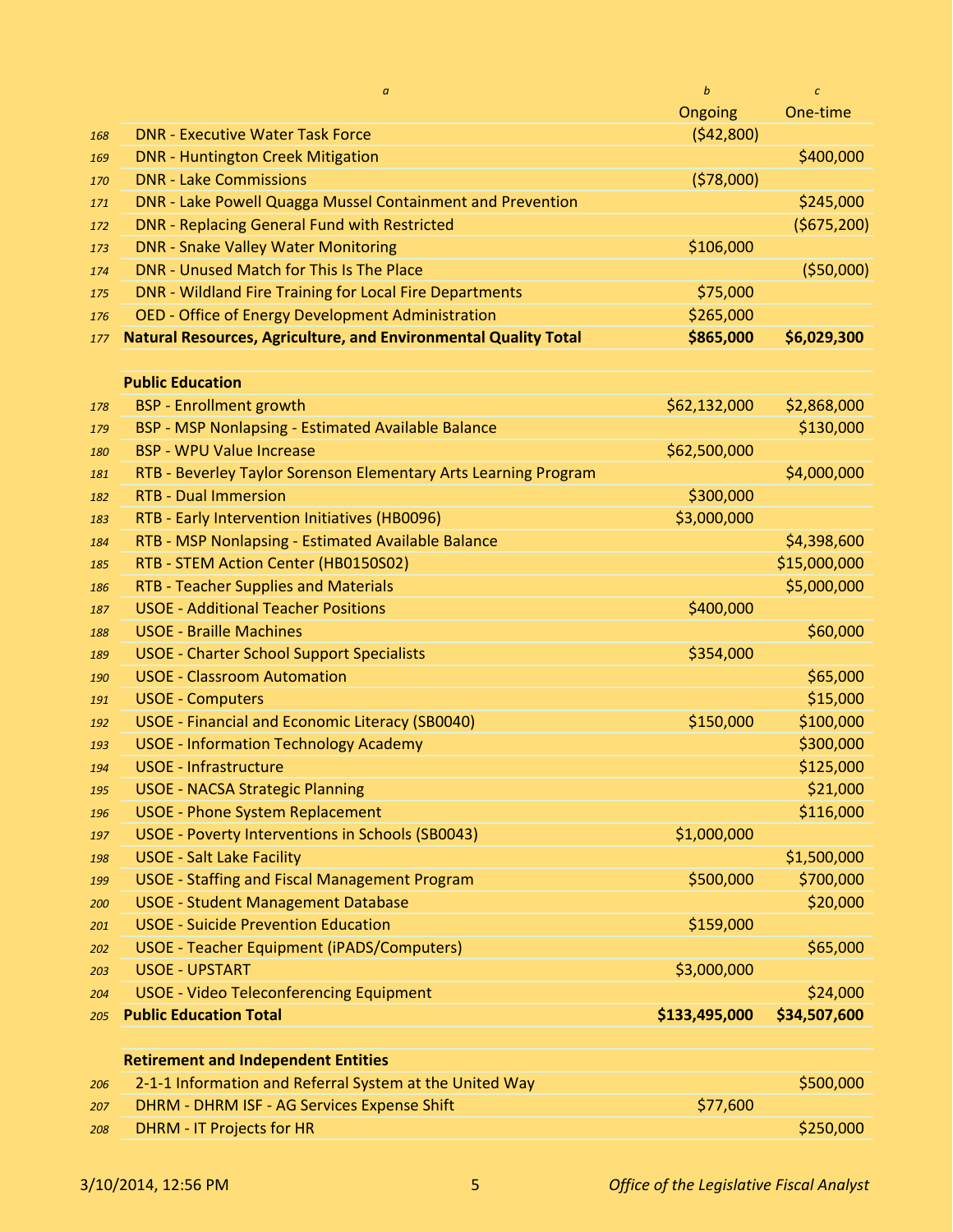|     | $\alpha$                                                               | $\boldsymbol{b}$ | $\boldsymbol{c}$ |
|-----|------------------------------------------------------------------------|------------------|------------------|
|     |                                                                        | Ongoing          | One-time         |
| 168 | <b>DNR - Executive Water Task Force</b>                                | (542,800)        |                  |
| 169 | <b>DNR - Huntington Creek Mitigation</b>                               |                  | \$400,000        |
| 170 | <b>DNR - Lake Commissions</b>                                          | (578,000)        |                  |
| 171 | DNR - Lake Powell Quagga Mussel Containment and Prevention             |                  | \$245,000        |
| 172 | DNR - Replacing General Fund with Restricted                           |                  | (\$675,200)      |
| 173 | <b>DNR - Snake Valley Water Monitoring</b>                             | \$106,000        |                  |
| 174 | DNR - Unused Match for This Is The Place                               |                  | (550,000)        |
| 175 | DNR - Wildland Fire Training for Local Fire Departments                | \$75,000         |                  |
| 176 | OED - Office of Energy Development Administration                      | \$265,000        |                  |
| 177 | <b>Natural Resources, Agriculture, and Environmental Quality Total</b> | \$865,000        | \$6,029,300      |
|     |                                                                        |                  |                  |
|     | <b>Public Education</b>                                                |                  |                  |
| 178 | <b>BSP</b> - Enrollment growth                                         | \$62,132,000     | \$2,868,000      |
| 179 | BSP - MSP Nonlapsing - Estimated Available Balance                     |                  | \$130,000        |
| 180 | <b>BSP - WPU Value Increase</b>                                        | \$62,500,000     |                  |
| 181 | RTB - Beverley Taylor Sorenson Elementary Arts Learning Program        |                  | \$4,000,000      |
| 182 | <b>RTB - Dual Immersion</b>                                            | \$300,000        |                  |
| 183 | RTB - Early Intervention Initiatives (HB0096)                          | \$3,000,000      |                  |
| 184 | RTB - MSP Nonlapsing - Estimated Available Balance                     |                  | \$4,398,600      |
| 185 | RTB - STEM Action Center (HB0150S02)                                   |                  | \$15,000,000     |
| 186 | <b>RTB - Teacher Supplies and Materials</b>                            |                  | \$5,000,000      |
| 187 | <b>USOE - Additional Teacher Positions</b>                             | \$400,000        |                  |
| 188 | <b>USOE - Braille Machines</b>                                         |                  | \$60,000         |
| 189 | <b>USOE - Charter School Support Specialists</b>                       | \$354,000        |                  |
| 190 | <b>USOE - Classroom Automation</b>                                     |                  | \$65,000         |
| 191 | <b>USOE - Computers</b>                                                |                  | \$15,000         |
| 192 | USOE - Financial and Economic Literacy (SB0040)                        | \$150,000        | \$100,000        |
| 193 | <b>USOE - Information Technology Academy</b>                           |                  | \$300,000        |
| 194 | <b>USOE - Infrastructure</b>                                           |                  | \$125,000        |
| 195 | <b>USOE - NACSA Strategic Planning</b>                                 |                  | \$21,000         |
| 196 | <b>USOE - Phone System Replacement</b>                                 |                  | \$116,000        |
| 197 | USOE - Poverty Interventions in Schools (SB0043)                       | \$1,000,000      |                  |
| 198 | <b>USOE - Salt Lake Facility</b>                                       |                  | \$1,500,000      |
| 199 | <b>USOE - Staffing and Fiscal Management Program</b>                   | \$500,000        | \$700,000        |
| 200 | <b>USOE - Student Management Database</b>                              |                  | \$20,000         |
| 201 | <b>USOE - Suicide Prevention Education</b>                             | \$159,000        |                  |
| 202 | USOE - Teacher Equipment (iPADS/Computers)                             |                  | \$65,000         |
| 203 | <b>USOE - UPSTART</b>                                                  | \$3,000,000      |                  |
| 204 | <b>USOE - Video Teleconferencing Equipment</b>                         |                  | \$24,000         |
| 205 | <b>Public Education Total</b>                                          | \$133,495,000    | \$34,507,600     |
|     |                                                                        |                  |                  |
|     | <b>Retirement and Independent Entities</b>                             |                  |                  |
| 206 | 2-1-1 Information and Referral System at the United Way                |                  | \$500,000        |
| 207 | DHRM - DHRM ISF - AG Services Expense Shift                            | \$77,600         |                  |
| 208 | <b>DHRM - IT Projects for HR</b>                                       |                  | \$250,000        |
|     |                                                                        |                  |                  |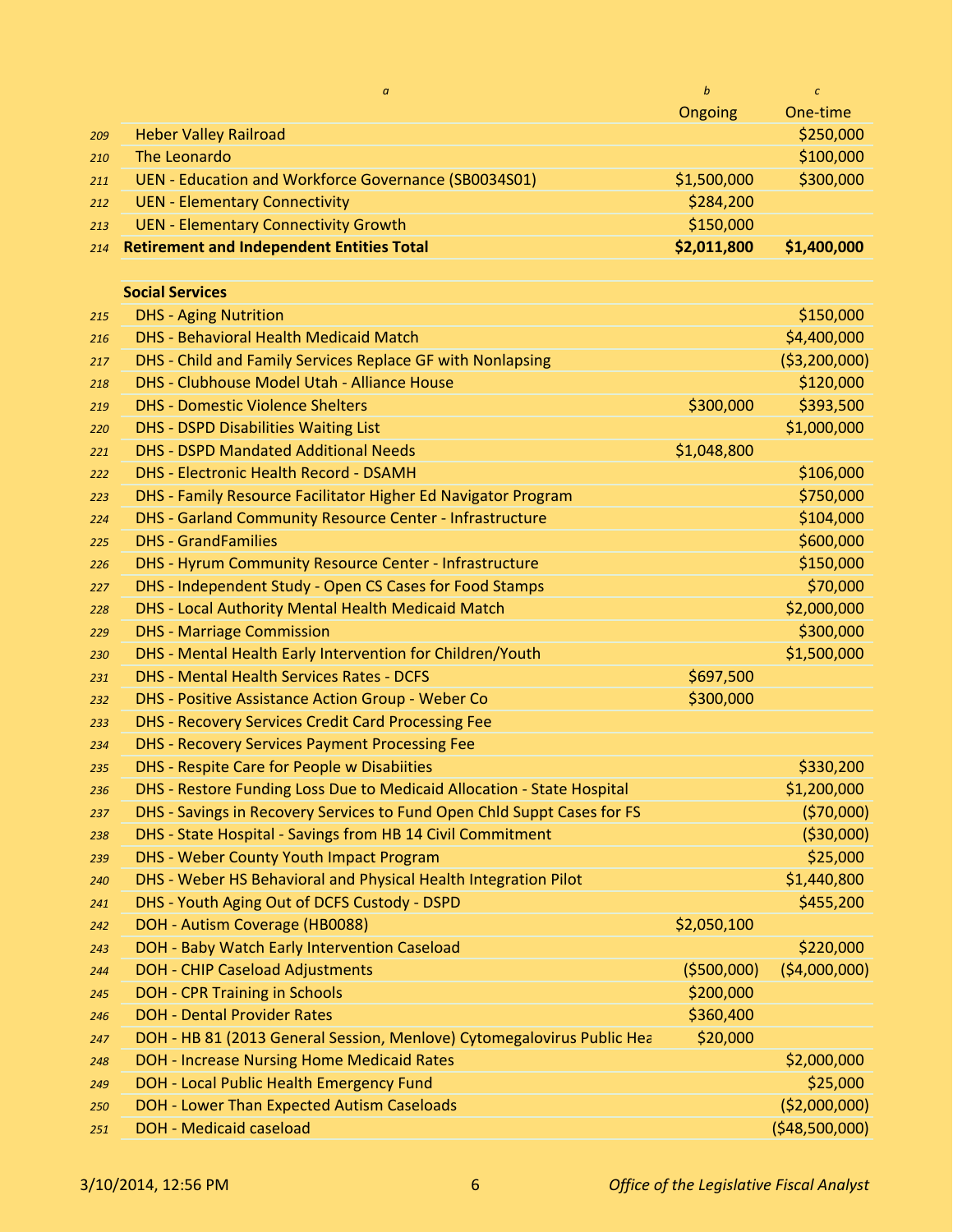|     | $\alpha$                                                                | $\boldsymbol{b}$ | $\epsilon$     |
|-----|-------------------------------------------------------------------------|------------------|----------------|
|     |                                                                         | Ongoing          | One-time       |
| 209 | <b>Heber Valley Railroad</b>                                            |                  | \$250,000      |
| 210 | The Leonardo                                                            |                  | \$100,000      |
| 211 | UEN - Education and Workforce Governance (SB0034S01)                    | \$1,500,000      | \$300,000      |
| 212 | <b>UEN - Elementary Connectivity</b>                                    | \$284,200        |                |
| 213 | <b>UEN - Elementary Connectivity Growth</b>                             | \$150,000        |                |
| 214 | <b>Retirement and Independent Entities Total</b>                        | \$2,011,800      | \$1,400,000    |
|     |                                                                         |                  |                |
|     | <b>Social Services</b>                                                  |                  |                |
| 215 | <b>DHS - Aging Nutrition</b>                                            |                  | \$150,000      |
| 216 | <b>DHS - Behavioral Health Medicaid Match</b>                           |                  | \$4,400,000    |
| 217 | DHS - Child and Family Services Replace GF with Nonlapsing              |                  | ( \$3,200,000) |
| 218 | DHS - Clubhouse Model Utah - Alliance House                             |                  | \$120,000      |
| 219 | <b>DHS - Domestic Violence Shelters</b>                                 | \$300,000        | \$393,500      |
| 220 | <b>DHS - DSPD Disabilities Waiting List</b>                             |                  | \$1,000,000    |
| 221 | <b>DHS - DSPD Mandated Additional Needs</b>                             | \$1,048,800      |                |
| 222 | <b>DHS - Electronic Health Record - DSAMH</b>                           |                  | \$106,000      |
| 223 | DHS - Family Resource Facilitator Higher Ed Navigator Program           |                  | \$750,000      |
| 224 | DHS - Garland Community Resource Center - Infrastructure                |                  | \$104,000      |
| 225 | <b>DHS - GrandFamilies</b>                                              |                  | \$600,000      |
| 226 | DHS - Hyrum Community Resource Center - Infrastructure                  |                  | \$150,000      |
| 227 | DHS - Independent Study - Open CS Cases for Food Stamps                 |                  | \$70,000       |
| 228 | DHS - Local Authority Mental Health Medicaid Match                      |                  | \$2,000,000    |
| 229 | <b>DHS</b> - Marriage Commission                                        |                  | \$300,000      |
| 230 | DHS - Mental Health Early Intervention for Children/Youth               |                  | \$1,500,000    |
| 231 | <b>DHS - Mental Health Services Rates - DCFS</b>                        | \$697,500        |                |
| 232 | DHS - Positive Assistance Action Group - Weber Co                       | \$300,000        |                |
| 233 | DHS - Recovery Services Credit Card Processing Fee                      |                  |                |
| 234 | <b>DHS - Recovery Services Payment Processing Fee</b>                   |                  |                |
| 235 | DHS - Respite Care for People w Disabiities                             |                  | \$330,200      |
| 236 | DHS - Restore Funding Loss Due to Medicaid Allocation - State Hospital  |                  | \$1,200,000    |
| 237 | DHS - Savings in Recovery Services to Fund Open Chld Suppt Cases for FS |                  | (570,000)      |
| 238 | DHS - State Hospital - Savings from HB 14 Civil Commitment              |                  | ( \$30,000)    |
| 239 | DHS - Weber County Youth Impact Program                                 |                  | \$25,000       |
| 240 | DHS - Weber HS Behavioral and Physical Health Integration Pilot         |                  | \$1,440,800    |
| 241 | DHS - Youth Aging Out of DCFS Custody - DSPD                            |                  | \$455,200      |
| 242 | DOH - Autism Coverage (HB0088)                                          | \$2,050,100      |                |
| 243 | DOH - Baby Watch Early Intervention Caseload                            |                  | \$220,000      |
| 244 | <b>DOH - CHIP Caseload Adjustments</b>                                  | ( \$500,000]     | (54,000,000)   |
| 245 | <b>DOH - CPR Training in Schools</b>                                    | \$200,000        |                |
| 246 | <b>DOH - Dental Provider Rates</b>                                      | \$360,400        |                |
| 247 | DOH - HB 81 (2013 General Session, Menlove) Cytomegalovirus Public Hea  | \$20,000         |                |
| 248 | DOH - Increase Nursing Home Medicaid Rates                              |                  | \$2,000,000    |
| 249 | DOH - Local Public Health Emergency Fund                                |                  | \$25,000       |
| 250 | DOH - Lower Than Expected Autism Caseloads                              |                  | ( \$2,000,000) |
| 251 | <b>DOH - Medicaid caseload</b>                                          |                  | (\$48,500,000) |
|     |                                                                         |                  |                |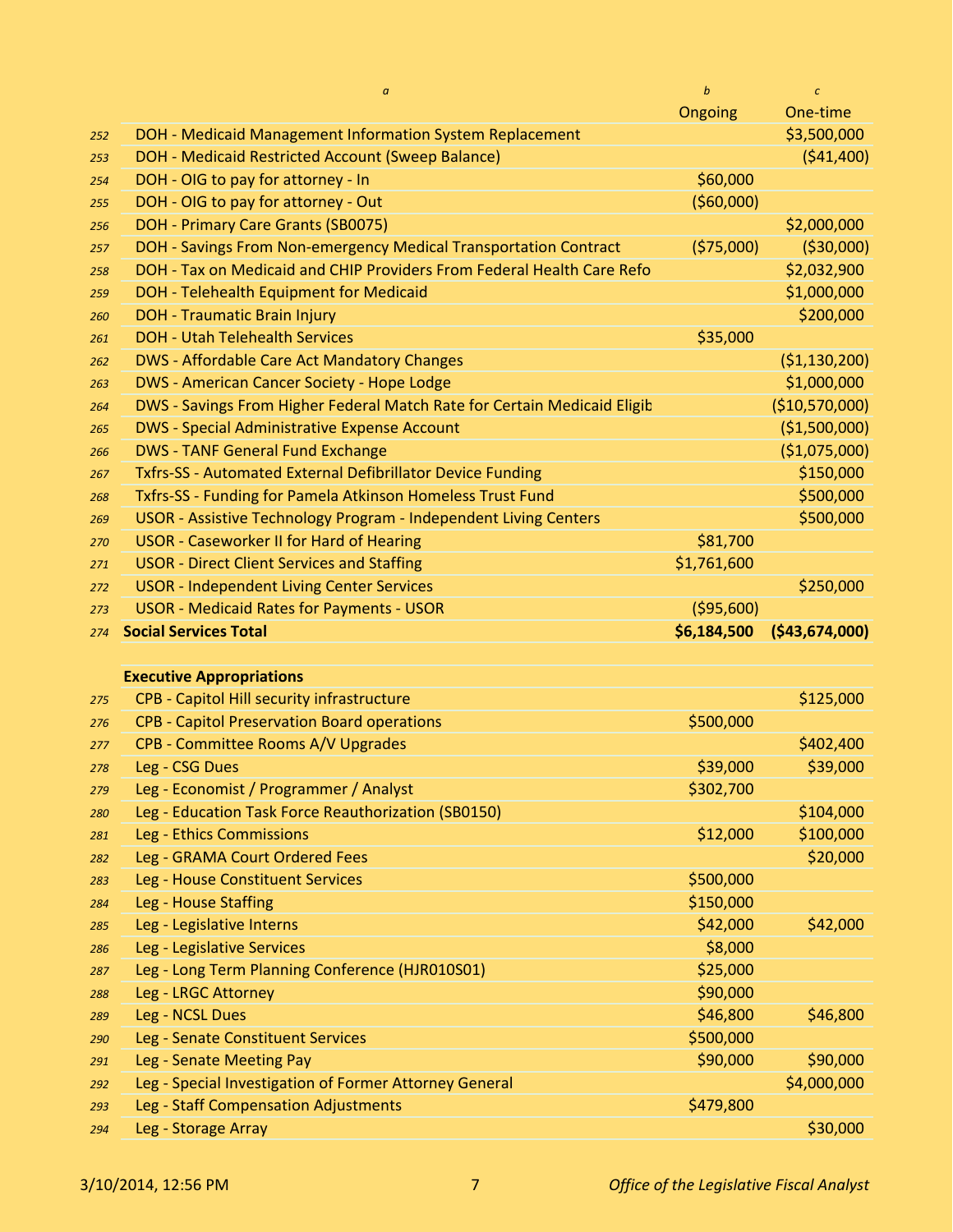|            | $\it a$                                                                  | $\boldsymbol{b}$ | $\mathcal{C}$   |
|------------|--------------------------------------------------------------------------|------------------|-----------------|
|            |                                                                          | Ongoing          | One-time        |
| 252        | DOH - Medicaid Management Information System Replacement                 |                  | \$3,500,000     |
| 253        | DOH - Medicaid Restricted Account (Sweep Balance)                        |                  | (541, 400)      |
| 254        | DOH - OIG to pay for attorney - In                                       | \$60,000         |                 |
| 255        | DOH - OIG to pay for attorney - Out                                      | (560,000)        |                 |
| 256        | DOH - Primary Care Grants (SB0075)                                       |                  | \$2,000,000     |
| 257        | DOH - Savings From Non-emergency Medical Transportation Contract         | (575,000)        | ( \$30,000)     |
| 258        | DOH - Tax on Medicaid and CHIP Providers From Federal Health Care Refo   |                  | \$2,032,900     |
| 259        | DOH - Telehealth Equipment for Medicaid                                  |                  | \$1,000,000     |
| 260        | <b>DOH - Traumatic Brain Injury</b>                                      |                  | \$200,000       |
| 261        | <b>DOH - Utah Telehealth Services</b>                                    | \$35,000         |                 |
| 262        | <b>DWS - Affordable Care Act Mandatory Changes</b>                       |                  | (51, 130, 200)  |
| 263        | DWS - American Cancer Society - Hope Lodge                               |                  | \$1,000,000     |
| 264        | DWS - Savings From Higher Federal Match Rate for Certain Medicaid Eligib |                  | (\$10,570,000)  |
| 265        | <b>DWS - Special Administrative Expense Account</b>                      |                  | (\$1,500,000)   |
| 266        | <b>DWS - TANF General Fund Exchange</b>                                  |                  | (\$1,075,000)   |
| 267        | Txfrs-SS - Automated External Defibrillator Device Funding               |                  | \$150,000       |
| 268        | Txfrs-SS - Funding for Pamela Atkinson Homeless Trust Fund               |                  | \$500,000       |
| 269        | USOR - Assistive Technology Program - Independent Living Centers         |                  | \$500,000       |
| 270        | <b>USOR - Caseworker II for Hard of Hearing</b>                          | \$81,700         |                 |
| 271        | <b>USOR - Direct Client Services and Staffing</b>                        | \$1,761,600      |                 |
| 272        | <b>USOR - Independent Living Center Services</b>                         |                  | \$250,000       |
| 273        | <b>USOR - Medicaid Rates for Payments - USOR</b>                         | ( \$95,600)      |                 |
|            |                                                                          |                  |                 |
|            |                                                                          |                  |                 |
| 274        | <b>Social Services Total</b>                                             | \$6,184,500      | ( \$43,674,000] |
|            |                                                                          |                  |                 |
|            | <b>Executive Appropriations</b>                                          |                  |                 |
| 275        | CPB - Capitol Hill security infrastructure                               |                  | \$125,000       |
| 276        | <b>CPB - Capitol Preservation Board operations</b>                       | \$500,000        |                 |
| 277        | CPB - Committee Rooms A/V Upgrades                                       |                  | \$402,400       |
| 278        | Leg - CSG Dues                                                           | \$39,000         | \$39,000        |
| 279        | Leg - Economist / Programmer / Analyst                                   | \$302,700        |                 |
| 280        | Leg - Education Task Force Reauthorization (SB0150)                      |                  | \$104,000       |
| 281        | Leg - Ethics Commissions                                                 | \$12,000         | \$100,000       |
| 282        | Leg - GRAMA Court Ordered Fees                                           |                  | \$20,000        |
| 283        | Leg - House Constituent Services                                         | \$500,000        |                 |
| 284        | Leg - House Staffing                                                     | \$150,000        |                 |
| 285        | Leg - Legislative Interns                                                | \$42,000         | \$42,000        |
| 286        | Leg - Legislative Services                                               | \$8,000          |                 |
| 287        | Leg - Long Term Planning Conference (HJR010S01)                          | \$25,000         |                 |
| 288        | Leg - LRGC Attorney                                                      | \$90,000         |                 |
| 289        | Leg - NCSL Dues                                                          | \$46,800         | \$46,800        |
| 290        | Leg - Senate Constituent Services                                        | \$500,000        |                 |
| 291        | Leg - Senate Meeting Pay                                                 | \$90,000         | \$90,000        |
| 292        | Leg - Special Investigation of Former Attorney General                   |                  | \$4,000,000     |
| 293<br>294 | Leg - Staff Compensation Adjustments<br>Leg - Storage Array              | \$479,800        | \$30,000        |